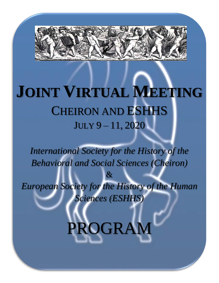

# **JOINT VIRTUAL MEETING** CHEIRON AND ESHHS JULY 9 – 11, 2020

*International Society for the History of the Behavioral and Social Sciences (Cheiron)*

&

*European Society for the History of the Human Sciences (ESHHS)*

PROGRAM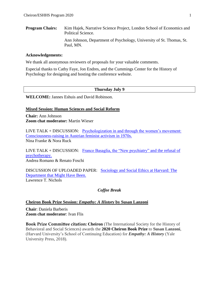**Program Chairs:** Kim Hajek, Narrative Science Project, London School of Economics and Political Science. Ann Johnson, Department of Psychology, University of St. Thomas, St. Paul, MN.

#### **Acknowledgements:**

We thank all anonymous reviewers of proposals for your valuable comments.

Especial thanks to Cathy Faye, Jon Endres, and the Cummings Center for the History of Psychology for designing and hosting the conference website.

#### **Thursday July 9**

**WELCOME:** Jannes Eshuis and David Robinson.

#### **Mixed Session: Human Sciences and Social Reform**

**Chair:** Ann Johnson **Zoom chat moderator:** Martin Wieser

LIVE TALK + DISCUSSION: [Psychologization in and through the women's movement:](#page-4-0)  [Consciousness-raising in Austrian feminist activism in 1970s.](#page-4-0) Nina Franke & Nora Ruck

LIVE TALK  $+$  DISCUSSION: Franco Basaglia, the "New psychiatry" and the refusal of [psychotherapy.](#page-6-0) Andrea Romano & Renato Foschi

DISCUSSION OF UPLOADED PAPER: [Sociology and Social Ethics at Harvard: The](#page-7-0)  [Department that Might Have Been.](#page-7-0) Lawrence T. Nichols

#### *Coffee Break*

#### **Cheiron Book Prize Session:** *Empathy: A History* **by Susan Lanzoni**

**Chair**: Daniela Barberis **Zoom chat moderator**: Ivan Flis

**Book Prize Committee citation: Cheiron** (The International Society for the History of Behavioral and Social Sciences) awards the **2020 Cheiron Book Prize** to **Susan Lanzoni**, (Harvard University's School of Continuing Education) for *Empathy: A History* (Yale University Press, 2018).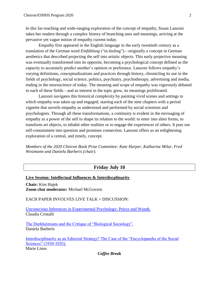In this far-reaching and wide-ranging exploration of the concept of empathy, Susan Lanzoni takes her readers through a complex history of branching uses and meanings, arriving at the pervasive yet vague notion of empathy current today.

Empathy first appeared in the English language in the early twentieth century as a translation of the German word *Einfühlung* ("in-feeling")—originally a concept in German aesthetics that described projecting the self into artistic objects. This early projective meaning was eventually transformed into its opposite, becoming a psychological concept defined as the capacity to accurately predict another's opinion or preference. Lanzoni follows empathy's varying definitions, conceptualizations and practices through history, chronicling its use in the fields of psychology, social science, politics, psychiatry, psychotherapy, advertising and media, ending in the neuroscience of today. The meaning and scope of empathy was vigorously debated in each of these fields—and as interest in the topic grew, its meanings proliferated.

Lanzoni navigates this historical complexity by painting vivid scenes and settings in which empathy was taken up and engaged, starting each of the nine chapters with a period vignette that unveils empathy as understood and performed by social scientists and psychologists. Through all these transformations, a continuity is evident in the envisaging of empathy as a power of the self to shape its relation to the world: to enter into alien forms, to transform art objects, to inhabit other realities or to engage the experiences of others. It puts our self-containment into question and promises connection. Lanzoni offers us an enlightening exploration of a central, and timely, concept.

*Members of the 2020 Cheiron Book Prize Committee: Kate Harper, Katharine Milar, Fred Weizmann and Daniela Barberis (chair).*

# **Friday July 10**

## **Live Session: Intellectual Influences & Interdiscplinarity**

**Chair:** Kim Hajek **Zoom chat moderator:** Michael McGovern

EACH PAPER INVOLVES LIVE TALK + DISCUSSION:

[Unconscious Inferences in Experimental Psychology: Peirce and Wundt.](#page-11-0) Claudia Cristalli

[The Durkheimians and the Critique of "Biological Sociology".](#page-12-0) Daniela Barberis

[Interdisciplinarity as an Editorial Strategy? The Case of the "Encyclopaedia of the Social](#page-14-0)  [Sciences" \(1930-1935\).](#page-14-0) Marie Linos

*Coffee Break*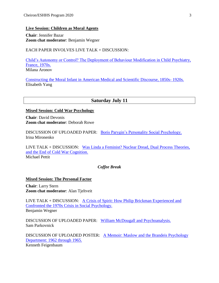## **Live Session: Children as Moral Agents**

**Chair**: Jennifer Bazar **Zoom chat moderator**: Benjamin Wegner

EACH PAPER INVOLVES LIVE TALK + DISCUSSION:

[Child's Autonomy or Control? The Deployment of Behaviour Modification in Child Psychiatry,](#page-16-0)  [France, 1970s.](#page-16-0) Milana Aronov

Constructing the Moral [Infant in American Medical and Scientific Discourse, 1850s-](#page-18-0) 1920s. Elisabeth Yang

# **Saturday July 11**

#### **Mixed Session: Cold War Psychology**

**Chair**: David Devonis **Zoom chat moderator**: Deborah Rowe

DISCUSSION OF UPLOADED PAPER: [Boris Parygin's Personality Social Psychology.](#page-21-0) Irina Mironenko

LIVE TALK + DISCUSSION: [Was Linda a Feminist? Nuclear Dread, Dual Process Theories,](#page-23-0)  [and the End of Cold War Cognition.](#page-23-0) Michael Pettit

## *Coffee Break*

#### **Mixed Session: The Personal Factor**

**Chair**: Larry Stern **Zoom chat moderator**: Alan Tjeltveit

LIVE TALK + DISCUSSION: [A Crisis of Spirit: How Philip Brickman Experienced and](#page-25-0)  [Confronted the 1970s Crisis in Social Psychology.](#page-25-0) Benjamin Wegner

DISCUSSION OF UPLOADED PAPER: [William McDougall and Psychoanalysis.](#page-26-0) Sam Parkovnick

DISCUSSION OF UPLOADED POSTER: [A Memoir: Maslow and the Brandeis Psychology](#page-28-0)  [Department: 1962 through 1965.](#page-28-0) Kenneth Feigenbaum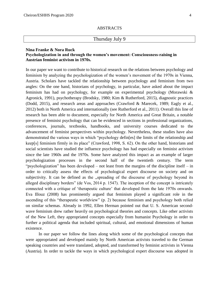## Thursday July 9

## <span id="page-4-0"></span>**Nina Franke & Nora Ruck Psychologization in and through the women's movement: Consciousness-raising in Austrian feminist activism in 1970s.**

In our paper we want to contribute to historical research on the relations between psychology and feminism by analyzing the psychologization of the women's movement of the 1970s in Vienna, Austria. Scholars have tackled the relationship between psychology and feminism from two angles: On the one hand, historians of psychology, in particular, have asked about the impact feminism has had on psychology, for example on experimental psychology (Morawski & Agronick, 1991), psychotherapy (Brodsky, 1980; Kim & Rutherford, 2015), diagnostic practices (Dodd, 2015), and research areas and approaches (Crawford & Marecek, 1989; Eagly et al., 2012) both in North America and internationally (see Rutherford et al., 2011). Overall this line of research has been able to document, especially for North America and Great Britain, a notable presence of feminist psychology that can be evidenced in sections in professional organizations, conferences, journals, textbooks, handbooks, and university courses dedicated to the advancement of feminist perspectives within psychology. Nevertheless, these studies have also demonstrated the various ways in which "psychology defin[es] the limits of the relationship and keep[s] feminism firmly in its place" (Crawford, 1998, S. 62). On the other hand, historians and social scientists have studied the influence psychology has had especially on feminist activism since the late 1960s and the 1970s. Some have analyzed this impact as an example of larger psychologization processes in the second half of the twentieth century. The term "psychologization" has been developed – not least from the margins of the discipline itself – in order to critically assess the effects of psychological expert discourse on society and on subjectivity. It can be defined as the "spreading of the discourse of psychology beyond its alleged disciplinary borders" (de Vos, 2014 p. 1547). The inception of the concept is intricately connected with a critique of 'therapeutic culture' that developed from the late 1970s onwards. Eva Illouz (2008) has prominently argued that feminism played a significant role in the ascending of this "therapeutic worldview" (p. 2) because feminism and psychology both relied on similar schemas. Already in 1992, Ellen Herman pointed out that U. S. American secondwave feminism drew rather heavily on psychological theories and concepts. Like other activists of the New Left, they appropriated concepts especially from humanist Psychology in order to further a political agenda that included spiritual, cultural, and emotional dimensions of human existence.

In our paper we follow the lines along which some of the psychological concepts that were appropriated and developed mainly by North American activists traveled to the German speaking countries and were translated, adopted, and transformed by feminist activists in Vienna (Austria). In order to tackle the ways in which psychological expert discourse was adopted in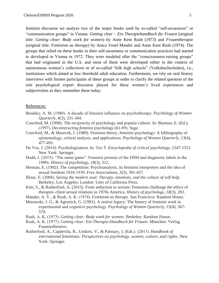feminist discourse we analyze two of the major books used by so-called "self-awareness" or "communication groups" in Vienna: *Getting clear – Ein Therapiehandbuch für Frauen* (original title: *Getting clear: Body work for women*) by Anne Kent Rush (1973) and *Frauentherapie* (original title: *Feminism as therapy*) by Anica Vesel Mander and Anne Kent Rush (1974). The groups that relied on these books in their self-awareness or communication practices had started to developed in Vienna in 1972. They were modeled after the "consciousness-raising groups" that had originated in the U.S. and most of them were developed either in the context of autonomous women's collectives or of so-called "folk high schools" (Volkshochschulen), i.e., institutions which aimed at low threshold adult education. Furthermore, we rely on oral history interviews with former participants of these groups in order to clarify the related question of the role psychological expert discourse played for these women's lived experiences and subjectivities as they remember these today.

#### References:

- Brodsky, A. M. (1980). A decade of feminist influence on psychotherapy. *Psychology of Women Quarterly*, *4*(3), 331-344.
- Crawford, M. (1998). The reciprocity of psychology and popular culture. In: Burman, E. (Ed.). (1997). *Deconstructing feminist psychology* (61-89). Sage.
- Crawford, M., & Marecek, J. (1989). Feminist theory, feminist psychology: A bibliography of epistemology, critical analysis, and applications. *Psychology of Women Quarterly*, *13*(4), 477-491.
- De Vos, J. (2014). Psychologization. In: Teo T. *Encyclopedia of critical psychology*, 1547-1551. New York: Springer.
- Dodd, J. (2015). "The name game": Feminist protests of the DSM and diagnostic labels in the 1980s. *History of psychology*, *18*(3), 312.
- Herman, E. (1992). The competition: Psychoanalysis, its feminist interpreters and the idea of sexual freedom 1910-1930. *Free Associations*, *3*(3), 391-437.
- Illouz, E. (2008). *Saving the modern soul: Therapy, emotions, and the culture of self-help*. Berkeley, Los Angeles, London: Univ of California Press.
- Kim, S., & Rutherford, A. (2015). From seduction to sexism: Feminists challenge the ethics of therapist–client sexual relations in 1970s America. *History of psychology*, *18*(3), 283.
- Mander, A. V., & Rush, A. K. (1974). *Feminism as therapy*. San Francisco: Random House.
- Morawski, J. G., & Agronick, G. (1991). A restive legacy: The history of feminist work in experimental and cognitive psychology. *Psychology of Women Quarterly*, *15*(4), 567- 579.
- Rush, A. K. (1973). *Getting clear: Body work for women*. Berkeley: Random House.
- Rush, A. K. (1977). *Getting clear: Ein Therapie-Handbuch für Frauen*. München: Verlag Frauenoffensive.
- Rutherford, A., Capdevila, R., Undurti, V., & Palmary, I. (Eds.). (2011). *Handbook of international feminisms: Perspectives on psychology, women, culture, and rights*. New York: Springer.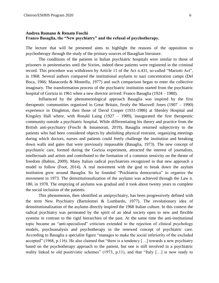## <span id="page-6-0"></span>**Andrea Romano & Renato Foschi Franco Basaglia, the "New psychiatry" and the refusal of psychotherapy.**

The lecture that will be presented aims to highlight the reasons of the opposition to psychotherapy through the study of the primary sources of Basaglian literature.

The conditions of the patients in Italian psychiatric hospitals were similar to those of prisoners in penitentiaries until the Sixties, indeed these patients were registered in the criminal record. This procedure was withdrawn by Article 11 of the Act n.431, so-called "Mariotti Act", in 1968. Several authors compared the institutional asylums to nazi concentration camps (Del Boca, 1966; Manacorda & Montella, 1977) and such comparison began to enter the collective imaginary. The transformation process of the psychiatric institution started from the psychiatric hospital of Gorizia in 1961 when a new director arrived: Franco Basaglia (1924 – 1980).

Influenced by the phenomenological approach Basaglia was inspired by the first therapeutic communities organized in Great Britain, firstly the Maxwell Jones (1907 – 1990) experience in Dingleton, then those of David Cooper (1931-1986) at Shenley Hospital and Kingsley Hall where, with Ronald Laing (1927 – 1989), inaugurated the first therapeutic community outside a psychiatric hospital. While differentiating his theory and practice from the British anti-psychiatry (Foschi & Innamorati, 2019), Basaglia returned subjectivity to the patients who had been considered objects by abolishing physical restraint, organizing meetings during which doctors, nurses and patients could freely challenge the institution and breaking down walls and gates that were previously impassable (Basaglia, 1973). The new concept of psychiatric care, formed during the Gorizia experiment, attracted the interest of journalists, intellectuals and artists and contributed to the formation of a common sensivity on the theme of freedom (Babini, 2009). Many Italian radical psychiatrists recognized in that new approach a model to follow (Foot, 2014). A real movement with the goal to break down the asylum institution grew around Basaglia. So he founded "Psichiatria democratica" to organize the movement in 1973. The deinstitutionalization of the asylums was achieved through the Law n. 180, in 1978. The emptying of asylums was gradual and it took about twenty years to complete the social inclusion of the patients.

This phenomenon, then identified as antipsychiatry, has been progressively defined with the term New Psychiatry (Bartolomei & Lombardo, 1977). The revolutionary idea of deinstitutionalization of the asylums directly inspired the 1968 Italian culture. In this context the radical psychiatry was permeated by the spirit of an ideal society open to new and flexible systems in contrast to the rigid hierarchies of the past. At the same time the anti-institutional topic became an "anti-specialized" criticism extended to the rejection of clinical psychology models, psychoanalysis and psychotherapy in the renewed concept of psychiatric care. According to Basaglia a specialist figure "manages to make the social inferiority of the excluded accepted" (1968, p.116). He also claimed that "there is a tendency [...] towards a new psychiatry based on the psychotherapy approach to the patient, but one is still involved in a psychiatric reality linked to old positivistic schemes" (1973, p.11), and that "Italy [...] is now ready to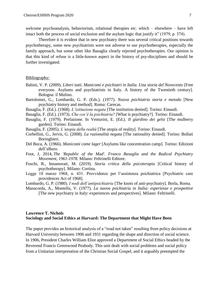welcome psychoanalysis, behaviorism, relational therapies etc. which – elsewhere – have left intact both the process of social exclusion and the asylum logic that justify it" (1979, p. 374).

Therefore it is evident that in new psychiatry there was several critical positions towards psychotherapy, some new psychiatrists were not adverse to use psychotherapies, especially the family approach, but some other like Basaglia clearly rejected psychotherapies. Our opinion is that this kind of refuse is a little-known aspect in the history of psy-disciplines and should be further investigated.

#### Bibliography:

- Babini, V. P. (2009). *Liberi tutti. Manicomi e psichiatri in Italia. Una storia del Novecento* [Free everyone. Asylums and psychiatrists in Italy. A history of the Twentieth century]*.*  Bologna: il Mulino.
- Bartolomei, G., Lombardo, G. P. (Eds.). (1977). *Nuova psichiatria storia e metodo* [New psychiatry history and method]*.* Roma: Carecas.
- Basaglia, F. (Ed.). (1968). *L'istituzione negata* [The institution denied]*.* Torino: Einaudi.
- Basaglia, F. (Ed.). (1973). *Che cos'è la psichiatria?* [What is psychiatry?]*.* Torino: Einaudi.
- Basaglia, F. (1979). Prefazione. In Venturini, E. (Ed.). *Il giardino dei gelsi* [The mulberry garden]*.* Torino: Einaudi.
- Basaglia, F. (2005). *L'utopia della realtà* [The utopia of reality]*.* Torino: Einaudi.
- Corbellini, G., Jervis, G. (2008). *La razionalità negata* [The rationality denied]*.* Torino: Bollati Boringhieri.
- Del Boca, A. (1966). *Manicomi come lager* [Asylums like concentration camp]*.* Torino: Edizioni dell'albero.
- Foot, J, 2014, *The 'Republic of the Mad'. Franco Basaglia and the Radical Psychiatry Movement, 1961-1978*. Milano: Feltrinelli Editore.
- Foschi, R., Innamorati, M. (2019). *Storia critica della psicoterapia* [Critical history of psychotherapy]*.* Milano: Cortina.
- Legge 18 marzo 1968, n. 431. Provvidenze per l'assistenza psichiatrica [Psychiatric care providences Act of 1968].
- Lombardo, G. P. (1980). *I nodi dell'antipsichiatria* [The knots of anti-psychiatry]*.* Borla, Roma.
- Manacorda, A., Montella, V. (1977). *La nuova psichiatria in Italia: esperienze e prospettive*  [The new psychiatry in Italy: experiences and perspectives]*.* Milano: Feltrinelli.

## <span id="page-7-0"></span>**Lawrence T. Nichols Sociology and Social Ethics at Harvard: The Department that Might Have Been**

The paper provides an historical analysis of a "road not taken" resulting from policy decisions at Harvard University between 1906 and 1931 regarding the shape and direction of social science. In 1906, President Charles William Eliot approved a Department of Social Ethics headed by the Reverend Francis Greenwood Peabody. This unit dealt with social problems and social policy from a Unitarian interpretation of the Christian Social Gospel, and it arguably preempted the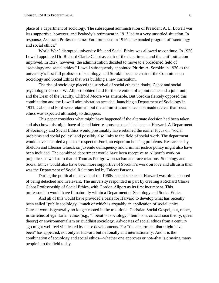place of a department of sociology. The subsequent administration of President A. L. Lowell was less supportive, however, and Peabody's retirement in 1913 led to a very unsettled situation. In response, Assistant Professor James Ford proposed in 1916 an expanded program of "sociology and social ethics."

World War I disrupted university life, and Social Ethics was allowed to continue. In 1920 Lowell appointed Dr. Richard Clarke Cabot as chair of the department, and the unit's situation improved. In 1927, however, the administration decided to move to a broadened field of "sociology and social ethics." Lowell subsequently appointed Pitirim A. Sorokin in 1930 as the university's first full professor of sociology, and Sorokin became chair of the Committee on Sociology and Social Ethics that was building a new curriculum.

The rise of sociology placed the survival of social ethics in doubt. Cabot and social psychologist Gordon W. Allport lobbied hard for the retention of a joint name and a joint unit, and the Dean of the Faculty, Clifford Moore was amenable. But Sorokin fiercely opposed this combination and the Lowell administration acceded, launching a Department of Sociology in 1931. Cabot and Ford were retained, but the administration's decision made it clear that social ethics was expected ultimately to disappear.

This paper considers what might have happened if the alternate decision had been taken, and also how this might have affected later responses to social science at Harvard. A Department of Sociology and Social Ethics would presumably have retained the earlier focus on "social problems and social policy" and possibly also links to the field of social work. The department would have accorded a place of respect to Ford, an expert on housing problems. Researches by Sheldon and Eleanor Glueck on juvenile delinquency and criminal justice policy might also have been included. The combined department would have been receptive to Allport's work on prejudice, as well as to that of Thomas Pettigrew on racism and race relations. Sociology and Social Ethics would also have been more supportive of Sorokin's work on love and altruism than was the Department of Social Relations led by Talcott Parsons.

During the political upheavals of the 1960s, social science at Harvard was often accused of being detached and irrelevant. The university responded in part by creating a Richard Clarke Cabot Professorship of Social Ethics, with Gordon Allport as its first incumbent. This professorship would have fit naturally within a Department of Sociology and Social Ethics.

And all of this would have provided a basis for Harvard to develop what has recently been called "public sociology," much of which is arguably an application of social ethics. Current work is generally no longer rooted in the traditional Christian Social Gospel, but, rather, in varieties of egalitarian ethics (e.g., "liberation sociology," feminism, critical race theory, queer theory) or environmentalism or Buddhist sociology. Advocates of social ethics from a century ago might well feel vindicated by these developments. For "the department that might have been" has appeared, not only at Harvard but nationally and internationally. And it is the combination of sociology and social ethics—whether one approves or not--that is drawing many people into the field today.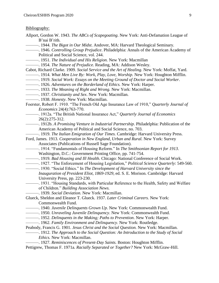#### Bibliography:

- Allport, Gordon W. 1943. *The ABCs of Scapegoating*. New York: Anti-Defamation League of B'nai B'rith.
	- ———. 1944. *The Bigot in Our Midst*. Andover, MA: Harvard Theological Seminary.
- ———. 1946. *Controlling Group Prejudice*. Philadelphia: Annals of the American Academy of Political and Social Science, vol. 244.
- ———. 1951. *The Individual and His Religion.* New York: Macmillan
- ———. 1954. *The Nature of Prejudice.* Reading, MA: Addison Wesley.
- Cabot, Richard Clarke. 1909. *Social Service and the Art of Healing*. New York: Moffat, Yard.
- ———. 1914. *What Men Live By: Work, Play, Love, Worship.* New York: Houghton Mifflin.
- ———. 1919. *Social Work: Essays on the Meeting Ground of Doctor and Social Worker*.
- ———. 1926. *Adventures on the Borderland of Ethics.* New York: Harper.
- ———. 1933. *The Meaning of Right and Wrong.* New York: Macmillan.
- ———. 1937. *Christianity and Sex*. New York: Macmillan.
- ———. 1938. *Honesty*. New York: Macmillan.
- Foerster, Robert F. 1910. "The French Old Age Insurance Law of 1910," *Quarterly Journal of Economics* 24(4):763-770.
	- ———. 1912a. "The British National Insurance Act," *Quarterly Journal of Economics* 26(2):275-312.
- ———. 1912b. *A Promising Venture in Industrial Partnership*. Philadelphia: Publication of the American Academy of Political and Social Science, no. 703.
- ———. 1919. *The Italian Emigration of Our Times.* Cambridge: Harvard University Press.
- Ford, James. 1913. *Cooperation in New England, Urban and Rural.* New York: Survey Associates (Publications of Russell Sage Foundation).
- ———. 1914. "Fundamentals of Housing Reform." In *The Smithsonian Report for 1913*. Washington, D.C.: Government Printing Office, pp. 741-754.
- ———. 1919. *Bad Housing and Ill Health.* Chicago: National Conference of Social Work.
- ———. 1927. "The Enforcement of Housing Legislation," *Political Science Quarterly*: 549-560.
- ———. 1930. "Social Ethics." In *The Development of Harvard University since the Inauguration of President Eliot, 1869-1929*, ed. S. E. Morison. Cambridge: Harvard University Press, pp. 223-230.
- ———. 1931. "Housing Standards, with Particular Reference to the Health, Safety and Welfare of Children." *Building Association News.*
	- ———. 1939. *Social Deviation.* New York: Macmillan.
- Glueck, Sheldon and Eleanor T. Glueck. 1937. *Later Criminal Careers.* New York: Commonwealth Fund.
- ———. 1940. *Juvenile Delinquents Grown Up*. New York: Commonwealth Fund.
- ———. 1950. *Unraveling Juvenile Delinquency*. New York: Commonwealth Fund.
- ———. 1952. *Delinquents in the Making; Paths to Prevention*. New York: Harper.
- ———. 1962. *Family Environment and Delinquency*. New York: Routledge.
- Peabody, Francis G. 1901. *Jesus Christ and the Social Question.* New York: Macmillan. ———. 1912. *The Approach to the Social Question: An Introduction to the Study of Social* 
	- *Ethics.* New York: Macmillan.
	- ———. 1927. *Reminiscences of Present-Day Saints.* Boston: Houghton Mifflin.
- Pettigrew, Thomas F. 1971a. *Racially Separated or Together?* New York: McGraw-Hill.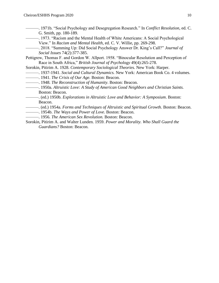- ———. 1971b*.* "Social Psychology and Desegregation Research*.*" In *Conflict Resolution*, ed. C. G. Smith, pp. 180-189.
- ———. 1973. "Racism and the Mental Health of White Americans: A Social Psychological View." In *Racism and Mental Health*, ed. C. V. Willie, pp. 269-298.
- ———. 2018. "Summing Up: Did Social Psychology Answer Dr. King's Call?" *Journal of Social Issues* 74(2):377-385.
- Pettigrew, Thomas F. and Gordon W. Allport. 1958. "Binocular Resolution and Perception of Race in South Africa," *British Journal of Psychology* 49(4):265-278.
- Sorokin, Pitirim A. 1928. *Contemporary Sociological Theories.* New York: Harper.
- ———. 1937-1941. *Social and Cultural Dynamics.* New York: American Book Co. 4 volumes.
- ———. 1941. *The Crisis of Our Age.* Boston: Beacon.
- ———. 1948. *The Reconstruction of Humanity*. Boston: Beacon.
- ———. 1950a. *Altruistic Love: A Study of American Good Neighbors and Christian Saints.* Boston: Beacon.
- ———. (ed.) 1950b. *Explorations in Altruistic Love and Behavior: A Symposium*. Boston: Beacon.
- ———. (ed.) 1954a. *Forms and Techniques of Altruistic and Spiritual Growth.* Boston: Beacon.
- ———. 1954b. *The Ways and Power of Love*. Boston: Beacon.
- ———. 1956. *The American Sex Revolution.* Boston: Beacon.
- Sorokin, Pitirim A. and Walter Lunden. 1959. *Power and Morality. Who Shall Guard the Guardians?* Boston: Beacon.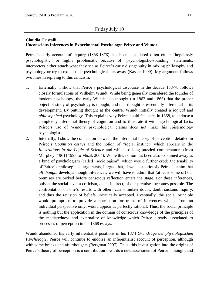# Friday July 10

# <span id="page-11-0"></span>**Claudia Cristalli Unconscious Inferences in Experimental Psychology: Peirce and Wundt**

Peirce's early account of inquiry (1868-1878) has been considered often either "hopelessly psychologistic" or highly problematic because of "psychologistic-sounding" statements: interpreters either attack what they see as Peirce's early disingenuity in mixing philosophy and psychology or try to explain the psychological bits away (Kasser 1999). My argument follows two lines in replying to this criticism:

- 1. Externally, I show that Peirce's psychological discourse in the decade 188-78 follows closely formulations of Wilhelm Wundt. While being generally considered the founder of modern psychology, the early Wundt also thought (in 1862 and 1863) that the proper object of study of psychology is thought, and that thought is essentially inferential in its development. By putting thought at the centre, Wundt initially created a *logical* and *philosophical* psychology*.* This explains why Peirce could feel safe, in 1868, to endorse a completely inferential theory of cognition and to illustrate it with psychological facts. Peirce's use of Wundt's psychological claims does not make his epistemology psychologistic.
- 2. Internally, I show the connection between the inferential theory of perception detailed in Peirce's *Cognition* essays and the notion of "social instinct" which appears in the *Illustrations in the Logic of Science* and which so long puzzled commentators (from Murphey [1961] 1993 to Misak 2004). While this notion has been also explained away as a kind of psychologism (called "sociologism") which would further erode the tenability of Peirce's philosophical arguments, I argue that, if we take seriously Peirce's claim that *all thought* develops though inferences, we will have to admit that (at least some of) our premises are picked before conscious reflection enters the stage. For these inferences, only at the social level a criticism, albeit indirect, of our premises becomes possible. The confrontation on one's results with others can stimulate doubt; doubt sustains inquiry, and thus the revision of beliefs uncritically accepted. Eventually, the social principle would prompt us to provide a correction for trains of inferences which, from an individual perspective only, would appear as perfectly rational. Thus, the social principle is nothing but the application in the domain of conscious knowledge of the principles of the mediatedness and externality of knowledge which Peirce already associated to processes of perception in his 1868 essays.

Wundt abandoned his early inferentialist positions in his 1874 *Grundzüge der physiologischen Psychologie*. Peirce will continue to endorse an inferentialist account of perception, although with some breaks and afterthoughts (Bergman 2007). Thus, this investigation into the origins of Peirce's theory of perception is a contribution towards a new assessment of Peirce's thought and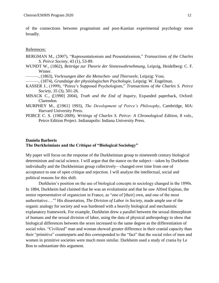of the connections between pragmatism and post-Kantian experimental psychology more broadly.

References:

- BERGMAN M., (2007), "Representationism and Presentationism," *Transactions of the Charles S. Peirce Society*, 43 (1), 53-89.
- WUNDT W., (1862), *Beiträge zur Theorie der Sinneswahrnehmung*, Leipzig, Heidelberg: C. F. Winter.
	- ———, (1863), *Vorlesungen über die Menschen- und Thierseele*, Leipzig: Voss.
- ———, (1874), *Grundzüge der physiologischen Psychologie*, Leipzig: W. Engelman.
- KASSER J., (1999), "Peirce's Supposed Psychologism," *Transactions of the Charles S. Peirce Society*, 35 (3), 501-26.
- MISACK C., ([1990] 2004), *Truth and the End of Inquiry*, Expanded paperback, Oxford: Clarendon.
- MURPHEY M., ([1961] 1993), *The Development of Peirce's Philosophy*, Cambridge, MA: Harvard University Press.
- PEIRCE C. S. (1982-2009), *Writings of Charles S. Peirce: A Chronological Edition*, 8 vols., Peirce Edition Project. Indianapolis: Indiana University Press.

## <span id="page-12-0"></span>**Daniela Barberis The Durkheimians and the Critique of "Biological Sociology"**

My paper will focus on the response of the Durkheimian group to nineteenth century biological determinism and racial science. I will argue that the stance on the subject—taken by Durkheim individually and the Durkheimian group collectively—changed over time from one of acceptance to one of open critique and rejection. I will analyze the intellectual, social and political reasons for this shift.

Durkheim's position on the use of biological concepts in sociology changed in the 1890s. In 1884, Durkheim had claimed that he was an evolutionist and that he saw Alfred Espinas, the senior representative of organicism in France, as "one of [their] own, and one of the most authoritative…."<sup>1</sup> His dissertation, *The Division of Labor in Society*, made ample use of the organic analogy for society and was burdened with a heavily biological and mechanistic explanatory framework. For example, Durkheim drew a parallel between the sexual dimorphism of humans and the sexual division of labor, using the data of physical anthropology to show that biological differences between the sexes increased to the same degree as the differentiation of social roles. "Civilized" man and woman showed greater difference in their cranial capacity than their "primitive" counterparts and this corresponded to the "fact" that the social roles of men and women in primitive societies were much more similar. Durkheim used a study of crania by Le Bon to substantiate this argument.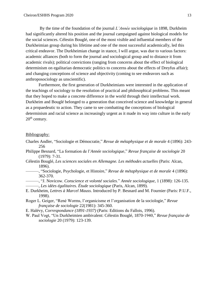By the time of the foundation of the journal *L'Année sociologique* in 1898, Durkheim had significantly altered his position and the journal campaigned against biological models for the social sciences. Célestin Bouglé, one of the most visible and influential members of the Durkheimian group during his lifetime and one of the most successful academically, led this critical endeavor. The Durkheimian change in stance, I will argue, was due to various factors: academic alliances (both to form the journal and sociological group and to distance it from academic rivals); political convictions (ranging from concerns about the effect of biological determinism on egalitarian democratic politics to concerns about the effects of Dreyfus affair); and changing conceptions of science and objectivity (coming to see endeavors such as anthroposociology as unscientific).

Furthermore, the first generation of Durkheimians were interested in the application of the teachings of sociology to the resolution of practical and philosophical problems. This meant that they hoped to make a concrete difference in the world through their intellectual work. Durkheim and Bouglé belonged to a generation that conceived science and knowledge in general as a propaedeutic to action. They came to see combatting the conceptions of biological determinism and racial science as increasingly urgent as it made its way into culture in the early  $20<sup>th</sup>$  century.

## Bibliography:

- Charles Andler, "Sociologie et Démocratie," *Revue de métaphysique et de morale* 4 (1896): 243- 256
- Philippe Besnard, "La formation de l'*Année sociologique*," *Revue française de sociologie* 20 (1979): 7-31.
- Célestin Bouglé, *Les sciences sociales en Allemagne. Les méthodes actuelles* (Paris: Alcan, 1896).
- ———, "Sociologie, Psychologie, et Histoire," *Revue de métaphysique et de morale* 4 (1896): 362-370.
- ———, "J. Novicow. *Conscience et volonté sociales*." *Année sociologique*, 1 (1898): 126-135.
	- ———, *Les idées égalitaires. Étude sociologique* (Paris, Alcan, 1899).
- E. Durkheim, *Lettres à Marcel Mauss*. Introduced by P. Besnard and M. Fournier (Paris: P.U.F., 1998).
- Roger L. Geiger, "René Worms, l'organicisme et l'organisation de la sociologie," *Revue française de sociologie* 22(1981): 345-360.
- E. Halévy, *Correspondance (1891-1937)* (Paris: Editions du Fallois, 1996).
- W. Paul Vogt, "Un Durkheimien ambivalent: Célestin Bouglé, 1870-1940," *Revue française de sociologie* 20 (1979): 123-139.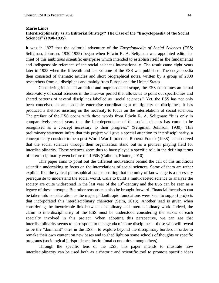#### <span id="page-14-0"></span>**Marie Linos Interdisciplinarity as an Editorial Strategy? The Case of the "Encyclopaedia of the Social Sciences" (1930-1935).**

It was in 1927 that the editorial adventure of the *Encyclopaedia of Social Sciences* (ESS; Seligman, Johnson, 1930-1935) began when Edwin R. A. Seligman was appointed editor-inchief of this ambitious scientific enterprise which intended to establish itself as the fundamental and indispensable reference of the social sciences internationally. The result came eight years later in 1935 when the fifteenth and last volume of the ESS was published. The encyclopedia then consisted of thematic articles and short biographical notes, written by a group of 2000 researchers from all disciplines and mainly from Europe and the United States.

Considering its stated ambition and unprecedented scope, the ESS constitutes an actual observatory of social sciences in the interwar period that allows us to point out specificities and shared patterns of several disciplines labelled as "social sciences." Yet, the ESS has not only been conceived as an academic enterprise coordinating a multiplicity of disciplines, it has produced a rhetoric insisting on the necessity to focus on the interrelations of social sciences. The preface of the ESS opens with these words from Edwin R. A. Seligman: "It is only in comparatively recent years that the interdependence of the social sciences has come to be recognized as a concept necessary to their progress." (Seligman, Johnson, 1930). This preliminary statement infers that this project will give a special attention to interdisciplinarity, a concept many consider to be a post-World War II practice. Roberta Franck (1988) has observed that the social sciences through their organization stand out as a pioneer playing field for interdisciplinarity. These sciences seem thus to have played a specific role in the defining terms of interdisciplinarity even before the 1950s (Calhoun, Rhoten, 2010).

This paper aims to point out the different motivations behind the call of this ambitious scientific undertaking to focus on the interrelations of social sciences. Some of them are rather explicit, like the typical philosophical stance positing that the unity of knowledge is a necessary prerequisite to understand the social world. Calls to build a multi-faceted science to analyze the society are quite widespread in the last year of the  $19<sup>th</sup>$ -century and the ESS can be seen as a legacy of these attempts. But other reasons can also be brought forward. Financial incentives can be taken into consideration as the major philanthropic foundations were keen to support projects that incorporated this interdisciplinary character (Seim, 2013). Another lead is given when considering the inextricable link between disciplinary and interdisciplinary work. Indeed, the claim to interdisciplinarity of the ESS must be understood considering the stakes of each specialty involved in this project. When adopting this perspective, we can see that interdisciplinarity seems to correspond to the agenda of some disciplines – those who will reveal to be the "dominant" ones in the ESS – to explore beyond the disciplinary borders in order to remake their own content on new bases and to shed light on some schools of thoughts or specific programs (sociological jurisprudence, institutional economics among others).

Through the specific lens of the ESS, this paper intends to illustrate how interdisciplinarity can be used both as a rhetoric and scientific tool to promote specific ideas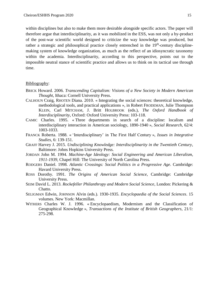within disciplines but also to make them more desirable alongside specific actors. The paper will therefore argue that interdisciplinarity, as it was mobilized in the ESS, was not only a by-product of the post-war scientific world designed to criticize the way knowledge was produced, but rather a strategic and philosophical practice closely entrenched in the 19<sup>th</sup>-century disciplinemaking system of knowledge organization, as much as the reflect of an idiosyncratic taxonomy within the academia. Interdisciplinarity, according to this perspective, points out to the impossible neutral stance of scientific practice and allows us to think on its tactical use through time.

#### Bibliography:

- BRICK Howard. 2006. *Transcending Capitalism: Visions of a New Society in Modern American Thought*, Ithaca: Cornell University Press.
- CALHOUN Craig, RHOTEN Diana. 2010. « Integrating the social sciences: theoretical knowledge, methodological tools, and practical applications », in Robert FRODEMAN, Julie Thompson KLEIN, Carl MITCHAM, J. Britt HOLBROOK (eds.), *The Oxford Handbook of Interdisciplinarity*, Oxford: Oxford University Press: 103-118.
- CAMIC Charles. 1995. « Three departments in search of a discipline: localism and interdisciplinary interaction in American sociology, 1890-1940 », *Social Research*, 62/4: 1003-1033.
- FRANCK Roberta. 1988. « 'Interdisciplinary' in The First Half Century », *Issues in Integrative Studies*, 6: 139-151.
- GRAFF Harvey J. 2015. *Undisciplining Knowledge: Interdisciplinarity in the Twentieth Century*, Baltimore: Johns Hopkins University Press.
- JORDAN John M. 1994. *Machine-Age Ideology: Social Engineering and American Liberalism, 1911-1939*, Chapel Hill: The University of North Carolina Press.
- RODGERS Daniel. 1998. *Atlantic Crossings: Social Politics in a Progressive Age*. Cambridge: Havard University Press.
- ROSS Dorothy. 1991. *The Origins of American Social Science*, Cambridge: Cambridge University Press.
- SEIM David L. 2013. *Rockefeller Philanthropy and Modern Social Science*, London: Pickering & Chatto.
- SELIGMAN Edwin, JOHNSON Alvin (eds.). 1930-1935. *Encyclopaedia of the Social Sciences*. 15 volumes. New York: Macmillan.
- WITHERS Charles W. J. 1996. « Encyclopaedism, Modernism and the Classification of Geographical Knowledge », *Transactions of the Institute of British Geographers*, 21/1: 275-298.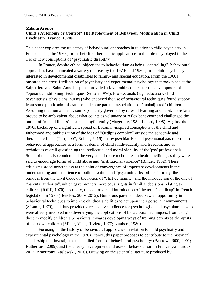## <span id="page-16-0"></span>**Milana Aronov Child's Autonomy or Control? The Deployment of Behaviour Modification in Child Psychiatry, France, 1970s.**

This paper explores the trajectory of behavioural approaches in relation to child psychiatry in France during the 1970s, from their first therapeutic applications to the role they played in the rise of new conceptions of "psychiatric disability".

In France, despite ethical objections to behaviourism as being "controlling", behavioural approaches have permeated a variety of areas by the 1970s and 1980s, from child psychiatry interested in developmental disabilities to family- and special education. From the 1960s onwards, the cross-fertilization of psychiatry and experimental psychology that took place at the Salpêtrière and Saint-Anne hospitals provided a favourable context for the development of "operant conditioning" techniques (Seiden, 1994). Professionals (e.g., educators, child psychiatrists, physicians, nurses) who endorsed the use of behavioural techniques found support from some public administrations and some parents associations of "maladjusted" children. Assuming that human behaviour is primarily governed by rules of learning and habit, these latter proved to be ambivalent about what counts as voluntary or reflex behaviour and challenged the notion of "mental illness" as a meaningful entity (Magerotte, 1984; Lelord, 1998). Against the 1970s backdrop of a significant spread of Lacanian-inspired conceptions of the child and fatherhood and publicization of the idea of "Oedipus complex" outside the academic and therapeutic fields (Tort, 2007; Robcis, 2016), many psychiatrists and psychoanalysts referred to behavioural approaches as a form of denial of child's individuality and freedom, and as techniques overall questioning the intellectual and moral viability of the 'psy' professionals. Some of them also condemned the very use of these techniques in health facilities, as they were said to encourage forms of child abuse and "institutional violence" (Binder, 1982). These criticisms stood nonetheless at the point of convergence of important developments in the understanding and experience of both parenting and "psychiatric disabilities": firstly, the removal from the Civil Code of the notion of "chef de famille" and the introduction of the one of "parental authority", which gave mothers more equal rights in familial decisions relating to children (JORF, 1970); secondly, the controversial introduction of the term "handicap" in French legislation in 1975 (Henckes, 2009, 2012). Numerous parents indeed saw an opportunity in behavioural techniques to improve children's abilities to act upon their personal environments (Sésame, 1979), and thus provided a responsive audience for psychologists and psychiatrists who were already involved into diversifying the applications of behavioural techniques, from using these to modify children's behaviours, towards developing ways of training parents as therapists of their own children (Miller, Viala, Rivière, 1977; Lambert, 1980).

Focusing on the history of behavioural approaches in relation to child psychiatry and experimental psychology in the 1970s France, this paper proposes to contribute to the historical scholarship that investigates the applied forms of behavioural psychology (Baistow, 2000, 2001; Rutherford, 2009), and the uneasy development and uses of behaviourism in France (Amouroux, 2017; Amouroux, Zaslawski, 2020). Drawing on the scientific literature produced by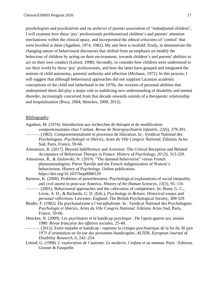psychologists and psychiatrists and on archives of parents association of "maladjusted children", I will examine how these 'psy' professionals problematized children's and parents' attention mechanisms within the clinical space, and incorporated the ethical criticisms of 'control' that were levelled at them (Agathon, 1974, 1982). My aim here is twofold: firstly, to demonstrate the changing nature of behavioural discourses that shifted from an emphasis on modify the behaviour of children by acting on their environment, towards children's and parents' abilities to act on their own conduct (Lelord, 1998). Secondly, to consider how children were understood to see their world by these 'psy' professionals, and how the latter have grasped and integrated the notions of child autonomy, parental authority and affection (Michaux, 1972). In this process, I will suggest that although behavioural approaches did not supplant Lacanian academic conceptions of the child and fatherhood in the 1970s, the versions of personal abilities that underpinned them did play a major role in stabilizing new understanding of disability and mental disorder, increasingly conceived from that decade onwards outside of a therapeutic relationship and hospitalization (Roca, 2004; Henckes, 2009, 2012).

#### Bibliography:

- Agathon, M. (1974). Introduction aux recherches de thérapie et de modification comportementales chez l'enfant*. Revue de Neuropsychiatrie infantile, 22*(6), 379-391.
- ———. (1982). Comportementalisme et processus de libération, In : Syndicat National des Psychologues. *Psychologie et libertés, Actes du VIIe Congrès National*, Éditions Actes Sud, Paris, France, 59-66.
- Amouroux, R. (2017). Beyond Indifference and Aversion: The Critical Reception and Belated Acceptance of Behaviour Therapy in France. *History of Psychology, 20* (3), 313-329.
- Amouroux, R., & Zaslawski, N. (2019). "The damned behaviorist" versus French phenomenologists: Pierre Naville and the French indigenization of Watson's behaviorism. *History of Psychology*. Online publication. https://doi.org/10.1037/hop0000129
- Baistow, K. (2000). Problems of powerlessness: Psychological explanations of social inequality and civil unrest in post-war America. *History of the Human Sciences, 13*(3), 95–116 -. (2001). Behavioural approaches and the cultivation of competence. In: Bunn, G. C.,
- Lovie, A. D., & Richards, G. D. (Eds.), *Psychology in Britain: Historical essays and personal reflections*. Leicester, England: The British Psychological Society, 309-329
- Binder, F. (1982). Du psychanalysme à l'encéphalisme. In : Syndicat National des Psychologues. *Psychologie et libertés, Actes du VIIe Congrès National*. Éditions Actes Sud, Paris, France, 59-66.
- Henckes, N. (2009). Les psychiatres et le handicap psychique : De l'après-guerre aux années 1980. *Revue française des affaires sociales*, 25-40.
- ———. (2012). Entre maladie et handicap : repenser la critique psychiatrique de la loi du 30 juin 1975 d'orientation en faveur des personnes handicapées. *ALTER, European Journal of Disability Research, 6,* 242–254.
- Lelord, G. (1998). *L'exploration de l'autisme. Le médecin, l'enfant et sa maman*. Paris : Editions Grasset & Fasquelle.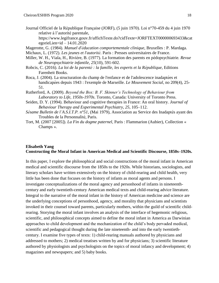Journal Officiel de la République Française (JORF), (5 juin 1970). Loi n°70-459 du 4 juin 1970 relative à l'autorité parentale,

https://www.legifrance.gouv.fr/affichTexte.do?cidTexte=JORFTEXT000000693433&cat  $egorieLinear_id - 14.01.2020$ 

Magerotte, G. (1984). *Manuel d'éducation comportementale clinique*, Bruxelles : P. Mardaga. Michaux, L. (1972). *Les jeunes et l'autorité* . Paris : Presses universitaires de France.

- Miller, W. H., Viala, H., Rivière, B. (1977). La formation des parents en pédopsychiatrie*. Revue de Neuropsychiatrie infantile, 25*(10), 591-602.
- Robcis, C. (2016). *La loi de la parenté : la famille, les experts et la République*, Editions Farenheit Books.
- Roca, J. (2004). La structuration du champ de l'enfance et de l'adolescence inadaptées et handicapées depuis 1943 : l'exemple de Marseille. *Le Mouvement Social*, no 209(4), 25- 51.
- Rutherford, A. (2009). *Beyond the Box: B. F. Skinner's Technology of Behaviour from Laboratory to Life, 1950s-1970s*. Toronto, Canada: University of Toronto Press.
- Seiden, D. Y. (1994). Behaviour and cognitive therapies in France: An oral history. *Journal of Behaviour Therapy and Experimental Psychiatry*, *25*, 105–112.
- *Sésame Bulletin de l'A.S.I.T.P. n°51*, (Mai 1979), Association au Service des Inadaptés ayant des Troubles de la Personnalité , Paris.
- Tort, M. (2007 [2005]). *La Fin du dogme paternel*, Paris : Flammarion (Aubier), Collection « Champs ».

## <span id="page-18-0"></span>**Elisabeth Yang Constructing the Moral Infant in American Medical and Scientific Discourse, 1850s–1920s.**

In this paper, I explore the philosophical and social constructions of the moral infant in American medical and scientific discourse from the 1850s to the 1920s. While historians, sociologists, and literary scholars have written extensively on the history of child-rearing and child health, very little has been done that focuses on the history of infants as moral agents and persons. I investigate conceptualizations of the moral agency and personhood of infants in nineteenthcentury and early twentieth-century American medical texts and child-rearing advice literature. Integral to the narrative of the moral infant in the history of American medicine and science are the underlying conceptions of personhood, agency, and morality that physicians and scientists invoked in their counsel toward parents, particularly mothers, within the guild of scientific childrearing. Storying the moral infant involves an analysis of the interface of hegemonic religious, scientific, and philosophical concepts aimed to define the moral infant in America as Darwinian approaches to child development and the mechanization of the child's body pervaded medical, scientific and pedagogical thought during the late nineteenth- and into the early twentiethcentury. I examine five types of texts: 1) child-rearing manuals authored by physicians and addressed to mothers; 2) medical treatises written by and for physicians; 3) scientific literature authored by physiologists and psychologists on the topics of moral infancy and development; 4) magazines and newspapers; and 5) baby books.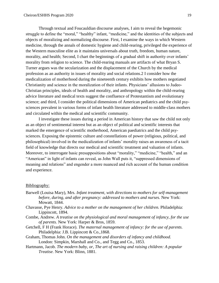Through textual and Foucauldian discourse analyses, I aim to reveal the hegemonic struggle to define the "moral," "healthy" infant, "medicine," and the identities of the subjects and objects of moralizing and normalizing discourse. First, I examine the ways in which Western medicine, through the annals of domestic hygiene and child-rearing, privileged the experience of the Western masculine elite as it maintains universals about truth, freedom, human nature, morality, and health; Second, I chart the beginnings of a gradual shift in authority over infants' morality from religion to science. The child-rearing manuals are artifacts of what Bryan S. Turner argues was the secularization and the displacement of the Church by the medical profession as an authority in issues of morality and social relations.2 I consider how the medicalization of motherhood during the nineteenth century exhibits how mothers negotiated Christianity and science in the moralization of their infants. Physicians' allusions to Judeo-Christian principles, ideals of health and morality, and anthropology within the child-rearing advice literature and medical texts suggest the confluence of Protestantism and evolutionary science; and third, I consider the political dimensions of American pediatrics and the child psysciences prevalent in various forms of infant health literature addressed to middle-class mothers and circulated within the medical and scientific community.

I investigate these issues during a period in American history that saw the child not only as an object of sentimental interest but as an object of political and scientific interests that marked the emergence of scientific motherhood, American paediatrics and the child psysciences. Exposing the epistemic culture and constellations of power (religious, political, and philosophical) involved in the medicalization of infants' morality raises an awareness of a tacit field of knowledge that directs our medical and scientific treatment and valuation of infants. Moreover, to interrogate basic presuppositions about "morality," "medicine," "health," and an "American" in light of infants can reveal, as John Wall puts it, "suppressed dimensions of meaning and relations" and engender a more nuanced and rich account of the human condition and experience.

#### Bibliography:

- Barwell (Louisa Mary), Mrs. *Infant treatment, with directions to mothers for self-management before, during, and after pregnancy: addressed to mothers and nurses.* New York: Mowatt, 1844.
- Chavasse, Pye Henry. *Advice to a mother on the management of her children.* Philadelphia: Lippincott, 1894.
- Combe, Andrew. *A treatise on the physiological and moral management of infancy, for the use of parents.* New York: Harper & Bros, 1859.
- Getchell, F H (Frank Horace). *The maternal management of infancy: for the use of parents.*  Philadelphia: J.B. Lippincott & Co.,1868.
- Graham, Thomas John. *On the management and disorders of infancy and childhood.*  London: Simpkin, Marshall and Co., and Tegg and Co., 1853.
- Hartmann, Jacob. *The modern baby, or, The art of nursing and raising children: A popular Treatise.* New York: Blinn, 1881.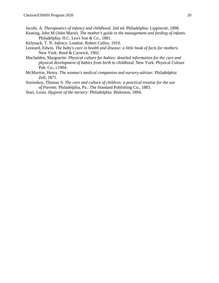Jacobi, A. *Therapeutics of infancy and childhood*. 2nd ed. Philadelphia: Lippincott, 1898.

- Keating, John M (John Marie). *The mother's guide in the management and feeding of infants.* Philadelphia: H.C. Lea's Son & Co., 1881.
- Kelynack, T. N. *Infancy*. London: Robert Culley, 1910.
- Leonard, Edwin. *The baby's care in health and disease: a little book of facts for mothers.* New York: Reed & Carnrick, 1902.
- Macfadden, Marguerite. *Physical culture for babies: detailed information for the care and physical development of babies from birth to childhood.* New York: Physical Culture Pub. Co., c1904.
- McMurtrie, Henry. *The woman's medical companion and nursery-adviser.* Philadelphia: Zell, 1871.
- Sozinskey, Thomas S. *The care and culture of children: a practical treatise for the use of Parents.* Philadelphia, Pa.: The Standard Publishing Co., 1883.
- Starr, Louis. *Hygiene of the nursery:* Philadelphia: Blakiston, 1894.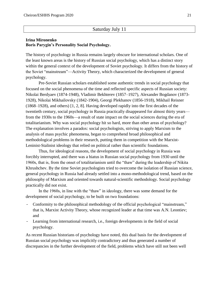# Saturday July 11

#### <span id="page-21-0"></span>**Irina Mironenko Boris Parygin's Personality Social Psychology.**

The history of psychology in Russia remains largely obscure for international scholars. One of the least known areas is the history of Russian social psychology, which has a distinct story within the general context of the development of Soviet psychology. It differs from the history of the Soviet "mainstream"—Activity Theory, which characterized the development of general psychology.

Pre-Soviet Russian scholars established some authentic trends in social psychology that focused on the social phenomena of the time and reflected specific aspects of Russian society: Nikolai Berdyaev (1874-1948), Vladimir Bekhterev (1857–1927), Alexander Bogdanov (1873- 1928), Nikolai Mikhailovsky (1842-1904), Georgi Plekhanov (1856-1918), Mikhail Reisner [\(1868–](https://ru.wikipedia.org/wiki/1868)[1928\)](https://ru.wikipedia.org/wiki/1928), and others) [1, 2, 8]. Having developed rapidly into the first decades of the twentieth century, social psychology in Russia practically disappeared for almost thirty years from the 1930s to the 1960s—a result of state impact on the social sciences during the era of totalitarianism. Why was social psychology hit so hard, more than other areas of psychology? The explanation involves a paradox: social psychologists, striving to apply Marxism to the analysis of mass psychic phenomena, began to comprehend broad philosophical and methodological problems in their research, putting them in competition with the Marxist-Leninist-Stalinist ideology that relied on political rather than scientific foundations.

Thus, for ideological reasons, the development of social psychology in Russia was forcibly interrupted, and there was a hiatus in Russian social psychology from 1930 until the 1960s, that is, from the onset of totalitarianism until the "thaw" during the leadership of Nikita Khrushchev. By the time Soviet psychologists tried to overcome the isolation of Russian science, general psychology in Russia had already settled into a mono-methodological trend, based on the philosophy of Marxism and oriented towards natural-scientific methodology. Social psychology practically did not exist.

In the 1960s, in line with the "thaw" in ideology, there was some demand for the development of social psychology, to be built on two foundations:

- Conformity to the philosophical methodology of the official psychological "mainstream," that is, Marxist Activity Theory, whose recognized leader at that time was A.N. Leontiev; and
- Learning from international research, i.e., foreign developments in the field of social psychology.

As recent Russian historians of psychology have noted, this dual basis for the development of Russian social psychology was implicitly contradictory and thus generated a number of discrepancies in the further development of the field, problems which have still not been well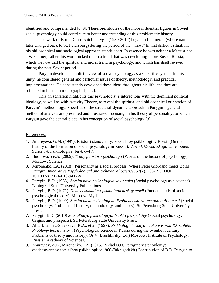identified and comprehended [8, 9]. Therefore, studies of the more influential figures in Soviet social psychology could contribute to better understanding of this problematic history.

The work of Boris Dmitrievitch Parygin (1930-2012) began in Leningrad (whose name later changed back to St. Petersburg) during the period of the "thaw." In that difficult situation, his philosophical and sociological approach stands apart. In essence he was neither a Marxist nor a Westerner; rather, his work picked up on a trend that was developing in pre-Soviet Russia, which we now call the spiritual and moral trend in psychology, and which has itself revived during the post-Soviet period.

Parygin developed a holistic view of social psychology as a scientific system. In this unity, he considered general and particular issues of theory, methodology, and practical implementations. He consistently developed these ideas throughout his life, and they are reflected in his main monographs [4 - 7].

This presentation highlights this psychologist's interactions with the dominant political ideology, as well as with Activity Theory, to reveal the spiritual and philosophical orientation of Parygin's methodology. Specifics of the structural-dynamic approach in Parygin's general method of analysis are presented and illustrated, focusing on his theory of personality, to which Parygin gave the central place in his conception of social psychology [3].

# References:

- 1. Andreyeva, G.M. (1997). K istorii stanovleniya sotsial'noy psikhologii v Rossii (On the history of the formation of social psychology in Russia). *Vestnik Moskovskogo Universiteta*. Series 14. Psikhologiya. № 4, 6–17.
- 2. Budilova, Ye.A. (2009). *Trudy po istorii psikhologii* (Works on the history of psychology). Moscow: Science.
- 3. Mironenko, I.A. (2018). Personality as a social process: Where Peter Giordano meets Boris Parygin. *Integrative Psychological and Behavioral Science*, 52(2), 288-295: DOI 10.1007/s12124-018-9417-y
- 4. Parygin, B.D. (1965). *Sotsial'naya psikhologiya kak nauka* (Social psychology as a science). Leningrad State University Publications.
- 5. Parygin, B.D. (1971). *Osnovy sotsial'no-psikhologicheskoy teorii* (Fundamentals of sociopsychological theory). Moscow: Mysl'.
- 6. Parygin, B.D. (1999). *Sotsial'naya psikhologiya. Problemy istorii, metodologii i teorii* (Social psychology: Problems of history, methodology, and theory). St. Petersburg State University Press.
- 7. Parygin B.D. (2010) *Sotsial'naya psikhologiya. Istoki i perspektivy* (Social psychology: Origins and prospects). St. Petersburg State University Press.
- 8. Abul'khanova-Slavskaya, K.A., et al. (1997). *Psikhologicheskaya nauka v Rossii XX stoletia: Problemy teorii i istorii* (Psychological science in Russia during the twentieth century: Problems of theory and history). (A.V. Brushlinsky, Ed.) Moscow: Institute of Psychology, Russian Academy of Sciences.
- 9. Zhuravlev, A.L., Mironenko, I.A. (2015). Vklad B.D. Parygina v stanovleniye otechestvennoy sotsial'noy psikhologii v 1960-70kh godakh (Contribution of B.D. Parygin to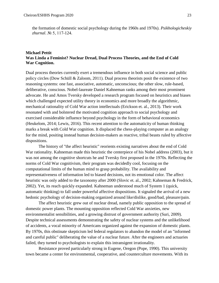the formation of domestic social psychology during the 1960s and 1970s). *Psikhologicheskiy zhurnal*. № 5, 117-124.

## <span id="page-23-0"></span>**Michael Pettit Was Linda a Feminist? Nuclear Dread, Dual Process Theories, and the End of Cold War Cognition.**

Dual process theories currently exert a tremendous influence in both social science and public policy circles (Dow Schüll  $&$  Zaloom, 2011). Dual process theorists posit the existence of two reasoning systems: one fast, associative, automatic, unconscious; the other slow, rule-based, deliberative, conscious. Nobel-laureate Daniel Kahneman ranks among their most prominent advocate. He and Amos Tversky developed a research program focused on heuristics and biases which challenged expected utility theory in economics and more broadly the algorithmic, mechanical rationality of Cold War action intellectuals (Erickson et. al., 2013). Their work resonated with and bolstered the motivated cognition approach to social psychology and exercised considerable influence beyond psychology in the form of behavioral economics (Heukelom, 2014; Lewis, 2016). This recent attention to the automaticity of human thinking marks a break with Cold War cognition. It displaced the chess-playing computer as an analogy for the mind, positing instead human decision-makers as reactive, tribal beasts ruled by affective dispositions.

The history of "the affect heuristic" reorients existing narratives about the end of Cold War rationality. Kahneman made this heuristic the centerpiece of his Nobel address (2003), but it was not among the cognitive shortcuts he and Tversky first proposed in the 1970s. Reflecting the norms of Cold War cognitivism, their program was decidedly cool, focusing on the computational limits of the human mind to grasp probability. The availability and representativeness of information led to biased decisions, not its emotional color. The affect heuristic was only added to the taxonomy after 2000 (Slovic et. al., 2002; Kahneman & Fredrick, 2002). Yet, its reach quickly expanded. Kahneman understood much of System 1 (quick, automatic thinking) to fall under powerful affective dispositions. It signaled the arrival of a new hedonic psychology of decision-making organized around like/dislike, good/bad, pleasure/pain.

The affect heuristic grew out of nuclear dread, namely public opposition to the spread of domestic power plants. The mounting opposition reflected Cold War anxieties, new environmentalist sensibilities, and a growing distrust of government authority (Suri, 2009). Despite technical assessments demonstrating the safety of nuclear systems and the unlikelihood of accidents, a vocal minority of Americans organized against the expansion of domestic plants. By 1970s, this obstinate skepticism led federal regulators to abandon the model of an "informed and careful public" deliberating the value of a nuclear future. After the engineers and actuaries failed, they turned to psychologists to explain this intransigent irrationality.

Resistance proved particularly strong in Eugene, Oregon (Pope, 1990). This university town became a center for environmental, cooperative, and counterculture movements. With its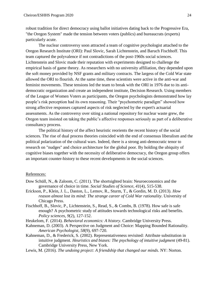robust tradition for direct democracy using ballot initiatives dating back to the Progressive Era, "the Oregon System" made the tension between voters (publics) and bureaucrats (experts) particularly acute.

The nuclear controversy soon attracted a team of cognitive psychologist attached to the Oregon Research Institute (ORI): Paul Slovic, Sarah Lichtenstein, and Baruch Fischhoff. This team captured the polyvalence if not contradictions of the post-1960s social sciences. Lichtenstein and Slovic made their reputation with experiments designed to challenge the empirical basis of game theory. As researchers with no university affiliation, they depended upon the soft money provided by NSF grants and military contracts. The largess of the Cold War state allowed the ORI to flourish. At the same time, these scientists were active in the anti-war and feminist movements. These tensions led the team to break with the ORI in 1976 due to its antidemocratic organization and create an independent institute, Decision Research. Using members of the League of Women Voters as participants, the Oregon psychologists demonstrated how lay people's risk perception had its own reasoning. Their "psychometric paradigm" showed how strong affective responses captured aspects of risk neglected by the expert's actuarial assessments. As the controversy over siting a national repository for nuclear waste grew, the Oregon team insisted on taking the public's affective responses seriously as part of a deliberative consultancy process.

The political history of the affect heuristic reorients the recent history of the social sciences. The rise of dual process theories coincided with the end of consensus liberalism and the political polarization of the cultural wars. Indeed, there is a strong anti-democratic tenor to research on "nudges" and choice architecture for the global poor. By holding the ubiquity of cognitive biases together with the necessity of deliberative democracy, the Oregon group offers an important counter-history to these recent developments in the social sciences.

#### References:

- Dow Schüll, N., & Zaloom, C. (2011). The shortsighted brain: Neuroeconomics and the governance of choice in time. *Social Studies of Science*, *41*(4), 515-538.
- Erickson, P., Klein, J. L., Daston, L., Lemov, R., Sturm, T., & Gordin, M. D. (2013). *How reason almost lost its mind: The strange career of Cold War rationality*. University of Chicago Press.
- Fischhoff, B., Slovic, P., Lichtenstein, S., Read, S., & Combs, B. (1978). How safe is safe enough? A psychometric study of attitudes towards technological risks and benefits. *Policy sciences*, *9*(2), 127-152.
- Heukelom, F. (2014). *Behavioral economics: A history*. Cambridge University Press.
- Kahneman, D. (2003). A Perspective on Judgment and Choice: Mapping Bounded Rationality. *American Psychologist*, *58*(9), 697-720.
- Kahneman, D., & Frederick, S. (2002). Representativeness revisited: Attribute substitution in intuitive judgment. *Heuristics and biases: The psychology of intuitive judgment* (49-81). Cambridge University Press, New York.
- Lewis, M. (2016). *The undoing project: A friendship that changed our minds*. NY: Norton.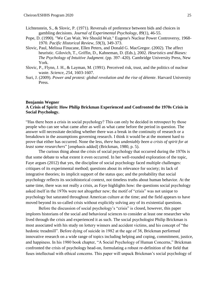- Lichtenstein, S., & Slovic, P. (1971). Reversals of preference between bids and choices in gambling decisions. *Journal of Experimental Psychology*, *89*(1), 46-55.
- Pope, D. (1990). "We Can Wait. We Should Wait." Eugene's Nuclear Power Controversy, 1968- 1970. *Pacific Historical Review*, *59*(3), 349-373.
- Slovic, Paul, Melissa Finucane, Ellen Peters, and Donald G. MacGregor. (2002). The affect heuristic. Gilovich, T., Griffin, D., Kahneman, D. (Eds.), 2002. *Heuristics and Biases: The Psychology of Intuitive Judgment*. (pp. 397–420). Cambridge University Press, New York.
- Slovic, P., Flynn, J. H., & Layman, M. (1991). Perceived risk, trust, and the politics of nuclear waste. *Science*, *254*, 1603-1607.
- Suri, J. (2009). *Power and protest: global revolution and the rise of détente*. Harvard University Press.

### <span id="page-25-0"></span>**Benjamin Wegner A Crisis of Spirit: How Philip Brickman Experienced and Confronted the 1970s Crisis in Social Psychology.**

"Has there been a crisis in social psychology? This can only be decided in retrospect by those people who can see what came after as well as what came before the period in question. The answer will necessitate deciding whether there was a break in the continuity of research or a breakdown in the assumptions governing research. I think it would be at the moment hard to prove that either has occurred. None the less, *there has undeniably been a crisis of spirit for at least some researchers*" [emphasis added] (Brickman, 1980, p. 5).

The curious thing about the crisis of social psychology that occurred during the 1970s is that some debate to what extent it even occurred. In her well-rounded exploration of the topic, Faye argues (2012) that yes, the discipline of social psychology faced multiple challenges: critiques of its experimental method; questions about its relevance for society; its lack of integrative theories; its implicit support of the status quo; and the probability that social psychology reflects its sociohistorical context, not timeless truths about human behavior. At the same time, there was not really a crisis, as Faye highlights how: the questions social psychology asked itself in the 1970s were not altogether new; the motif of "crisis" was not unique to psychology but saturated throughout American culture at the time; and the field appears to have moved beyond its so-called crisis without explicitly solving any of its existential questions.

Before the discussion of social psychology's "crisis" is closed, however, this paper implores historians of the social and behavioral sciences to consider at least one researcher who lived through the crisis and experienced it as such. The social psychologist Philip Brickman is most associated with his study on lottery winners and accident victims, and his concept of "the hedonic treadmill". Before dying of suicide in 1982 at the age of 38, Brickman performed innovative research on a wide range of topics including helping and coping, commitment, justice, and happiness. In his 1980 book chapter, "A Social Psychology of Human Concerns," Brickman confronted the crisis of psychology head-on, formulating a robust re-definition of the field that fuses intellectual with ethical concerns. This paper will unpack Brickman's social psychology of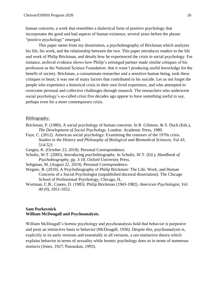human concerns, a work that resembles a dialectical form of positive psychology that incorporates the good and bad aspects of human existence, several years before the phrase "positive psychology" emerged.

This paper stems from my dissertation, a psychobiography of Brickman which analyzes his life, his work, and the relationship between the two. This paper introduces readers to the life and work of Philip Brickman, and details how he experienced the crisis in social psychology. For instance, archival evidence shows how Philip's estranged partner made similar critiques of his profession as the National Science Foundation: that it wasn't producing useful knowledge for the benefit of society. Brickman, a consummate researcher and a sensitive human being, took these critiques to heart; it was one of many factors that contributed to his suicide. Let us not forget the people who experience a historical crisis in their own lived experience, and who attempted to overcome personal and collective challenges through research. The researchers who underwent social psychology's so-called crisis five decades ago appear to have something useful to say, perhaps even for a more contemporary crisis.

#### Bibliography:

- Brickman, P. (1980). A social psychology of human concerns. In R. Gilmour, & S. Duck (Eds.), *The Development of Social Psychology*. London: Academic Press, 1980.
- Faye, C. (2012). American social psychology: Examining the contours of the 1970s crisis. *Studies in the History and Philosophy of Biological and Biomedical Sciences, Vol 43*, 514-521
- Gergen, K. (October 23, 2018). Personal Correspondence.
- Schultz, W.T. (2005). Introducing psychobiography. In Schultz, W.T. (Ed.), *Handbook of Psychobiography*, pp. 3-18. Oxford University Press.
- Seligman, M. (August 22, 2019). Personal Correspondence.
- Wegner, B. (2019). A Psychobiography of Philip Brickman: The Life, Work, and Human Concerns of a Social Psychologist (unpublished doctoral dissertation). The Chicago School of Professional Psychology, Chicago, IL.
- Wortman, C.B., Coates, D. (1985). Philip Brickman (1943-1982). *American Psychologist, Vol. 40 (9)*, 1051-1052.

## <span id="page-26-0"></span>**Sam Parkovnick William McDougall and Psychoanalysis.**

William McDougall's hormic psychology and psychoanalysis hold that behavior is purposive and posit an instinctive basis to behavior (McDougall, 1936). Despite this, psychoanalysis is, explicitly in its early versions and essentially in all versions, a uni-instinctive theory which explains behavior in terms of sexuality while hormic psychology does so in terms of numerous instincts (Jones, 1927; Pasouskas, 1993).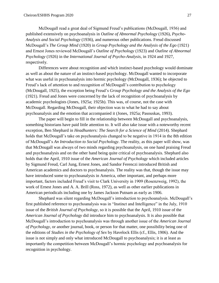McDougall read a great deal of Sigmund Freud's publications (McDougall, 1936) and published extensively on psychoanalysis in *Outline of Abnormal Psychology* (1926), *Psycho-Analysis and Social Psychology* (1936), and numerous other publications. Freud discussed McDougall's *The Group Mind* (1920) in *Group Psychology and the Analysis of the Ego* (1921) and Ernest Jones reviewed McDougall's *Outline of Psychology* (1923) and *Outline of Abnormal Psychology* (1926) in the *International Journal of Psycho-Analysis*, in 1924 and 1927, respectively.

Differences were about recognition and which instinct-based psychology would dominate as well as about the nature of an instinct-based psychology. McDougall wanted to incorporate what was useful in psychoanalysis into hormic psychology (McDougall, 1936); he objected to Freud's lack of attention to and recognition of McDougall's contribution to psychology (McDougall, 1925), the exception being Freud's *Group Psychology and the Analysis of the Ego* (1921). Freud and Jones were concerned by the lack of recognition of psychoanalysis by academic psychologists (Jones, 1925a; 1925b). This was, of course, not the case with McDougall. Regarding McDougall, their objection was to what he had to say about psychoanalysis and the emotion that accompanied it (Jones, 1925a; Pasouskas, 1993).

The paper will begin to fill in the relationship between McDougall and psychoanalysis, something historians have paid little attention to. It will also take issue with a noteworthy recent exception, Ben Shephard in *Headhunters: The Search for a Science of Mind* (2014). Shephard holds that McDougall's take on psychoanalysis changed to be negative in 1914 in the 8th edition of McDougall's *An Introduction to Social Psychology*. The reality, as this paper will show, was that McDougall was always of two minds regarding psychoanalysis, on one hand praising Freud and psychoanalysis and on the other hand being quite critical of psychoanalysis. Shephard also holds that the April, 1910 issue of the *American Journal of Psychology* which included articles by Sigmund Freud, Carl Jung, Ernest Jones, and Sandor Ferenczi introduced British and American academics and doctors to psychoanalysis. The reality was that, though the issue may have introduced some to psychoanalysis in America, other important, and perhaps more important, factors included Freud's visit to Clark University in 1909 (Rosenzweig, 1992), the work of Ernest Jones and A. A. Brill (Ross, 1972), as well as other earlier publications in American periodicals including one by James Jackson Putnam as early as 1906.

Shephard was silent regarding McDougall's introduction to psychoanalysis. McDougall's first published reference to psychoanalysis was in "Instinct and Intelligence" in the July, 1910 issue of the *British Journal of Psychology*, so it is possible that the April, 1910 issue of the *American Journal of Psychology* did introduce him to psychoanalysis. It is also possible that McDougall's introduction to psychoanalysis was through another issue of the *American Journal of Psychology*, or another journal, book, or person for that matter, one possibility being one of the editions of *Studies in the Psychology of Sex* by Havelock Ellis (cf., Ellis, 1906). And the issue is not simply and only what introduced McDougall to psychoanalysis; it is at least as importantly the competition between McDougall's hormic psychology and psychoanalysis for recognition in psychology.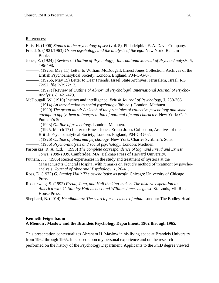#### References:

Ellis, H. (1906) *Studies in the psychology of sex* (vol. 5). Philadelphia: F. A. Davis Company.

- Freud, S. (1921/1963) *Group psychology and the analysis of the ego.* New York: Bantam Books.
- Jones, E. (1924) [Review of *Outline of Psychology*]. *International Journal of Psycho-Analysis, 5,* 496-498.
	- ———. (1925a, May 11) Letter to William McDougall. Ernest Jones Collection, Archives of the British Psychoanalytical Society, London, England, P04-C-G-07.
	- ———. (1925b, May 15) Letter to Dear Friends. Israel State Archives, Jerusalem, Israel, RG 72/52, file P-2972/12.
- ———. (1927) [Review of *Outline of Abnormal Psychology*]. *International Journal of Psycho-Analysis, 8,* 421-429.

McDougall, W. (1910) Instinct and intelligence. *British Journal of Psychology, 3,* 250-266. ———. (1914) *An introduction to social psychology* (8th ed.). London: Methuen.

- ———. (1920) *The group mind: A sketch of the principles of collective psychology and some attempt to apply them to interpretation of national life and character.* New York: C. P. Putnam's Sons.
- ———. (1923) *Outline of psychology.* London: Methuen.
- ———. (1925, March 17) Letter to Ernest Jones. Ernest Jones Collection, Archives of the British Psychoanalytical Society, London, England, P04-C-G-07.
- ———. (1926) *Outline of abnormal psychology.* New York: Charles Scribner's Sons.
- ———. (1936) *Psycho-analysis and social psychology.* London: Methuen.
- Pasouskas, R. A. (Ed.). (1993) *The complete correspondence of Sigmund Freud and Ernest Jones, 1908-1939.* Cambridge, MA: Belknap Press of Harvard University.
- Putnam, J. J. (1906) Recent experiences in the study and treatment of hysteria at the Massachusetts General Hospital with remarks on Freud's method of treatment by psychoanalysis. *Journal of Abnormal Psychology, 1,* 26-41.
- Ross, D. (1972) *G. Stanley Hall: The psychologist as profit.* Chicago: University of Chicago Press.
- Rosenzweig, S. (1992) *Freud, Jung, and Hall the king-maker: The historic expedition to America with G. Stanley Hall as host and William James as guest.* St. Louis, MI: Rana House Press.
- Shephard, B. (2014) *Headhunters: The search for a science of mind.* London: The Bodley Head.

## <span id="page-28-0"></span>**Kenneth Feigenbaum A Memoir: Maslow and the Brandeis Psychology Department: 1962 through 1965.**

This presentation contextualizes Abraham H. Maslow in his living space at Brandeis University from 1962 through 1965. It is based upon my personal experience and on the research I performed on the history of the Psychology Department. Applicants to the Ph.D degree viewed